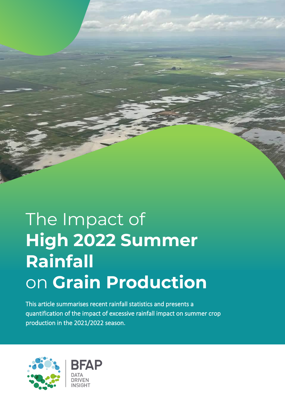## The Impact of **High 2022 Summer Rainfall** on **Grain Production**

This article summarises recent rainfall statistics and presents a quantification of the impact of excessive rainfall impact on summer crop production in the 2021/2022 season.



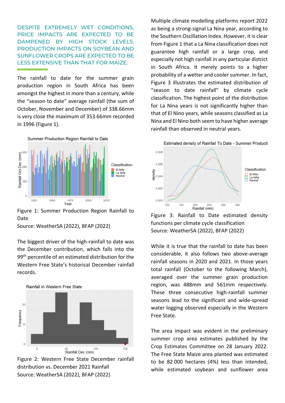DESPITE EXTREMELY WET CONDITIONS, PRICE IMPACTS ARE EXPECTED TO BE DAMPENED BY HIGH STOCK LEVELS. PRODUCTION IMPACTS ON SOYBEAN AND SUNFLOWER CROPS ARE EXPECTED TO BE LESS EXTENSIVE THAN THAT FOR MAIZE.

The rainfall to date for the summer grain production region in South Africa has been amongst the highest in more than a century, while the "season to date" average rainfall (the sum of October, November and December) of 338.66mm is very close the maximum of 353.66mm recorded in 1996 (Figure 1).



Figure 1: Summer Production Region Rainfall to Date

Source: WeatherSA (2022), BFAP (2022)

The biggest driver of the high-rainfall to date was the December contribution, which falls into the 99<sup>th</sup> percentile of an estimated distribution for the Western Free State's historical December rainfall records.



Figure 2: Western Free State December rainfall distribution vs. December 2021 Rainfall Source: WeatherSA (2022), BFAP (2022)

Multiple climate modelling platforms report 2022 as being a strong-signal La Nina year, according to the Southern Oscillation Index. However, it is clear from Figure 1 that a La Nina classification does not guarantee high rainfall or a large crop, and especially not high rainfall in any particular district in South Africa. It merely points to a higher probability of a wetter and cooler summer. In fact, Figure 3 illustrates the estimated distribution of "season to date rainfall" by climate cycle classification. The highest point of the distribution for La Nina years is not significantly higher than that of El Nino years, while seasons classified as La Nina and El Nino both seem to have higher average rainfall than observed in neutral years.



Figure 3: Rainfall to Date estimated density functions per climate cycle classification Source: WeatherSA (2022), BFAP (2022)

While it is true that the rainfall to date has been considerable, it also follows two above-average rainfall seasons in 2020 and 2021. In those years total rainfall (October to the following March), averaged over the summer grain production region, was 488mm and 561mm respectively. These three consecutive high-rainfall summer seasons lead to the significant and wide-spread water logging observed especially in the Western Free State.

The area impact was evident in the preliminary summer crop area estimates published by the Crop Estimates Committee on 28 January 2022. The Free State Maize area planted was estimated to be 82 000 hectares (4%) less than intended, while estimated soybean and sunflower area